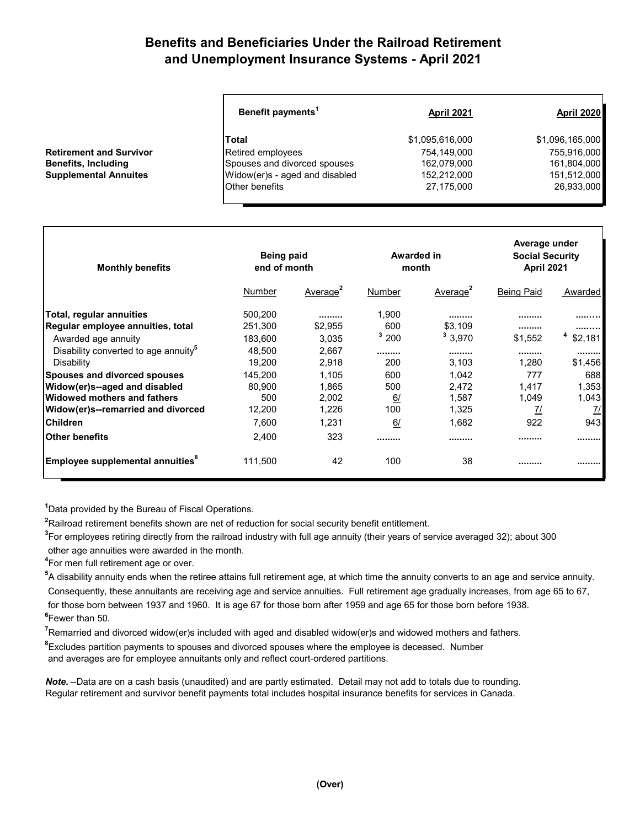## **Benefits and Beneficiaries Under the Railroad Retirement and Unemployment Insurance Systems - April 2021**

| Benefit payments <sup>1</sup>  | <b>April 2021</b> | <b>April 2020</b> |
|--------------------------------|-------------------|-------------------|
| lTotal                         | \$1,095,616,000   | \$1,096,165,000   |
| Retired employees              | 754,149,000       | 755,916,000       |
| Spouses and divorced spouses   | 162,079,000       | 161,804,000       |
| Widow(er)s - aged and disabled | 152,212,000       | 151,512,000       |
| Other benefits                 | 27,175,000        | 26,933,000        |

| <b>Monthly benefits</b>                          | Being paid<br>end of month |                      |        | Awarded in<br>month  | Average under<br><b>Social Security</b><br><b>April 2021</b> |         |
|--------------------------------------------------|----------------------------|----------------------|--------|----------------------|--------------------------------------------------------------|---------|
|                                                  | Number                     | Average <sup>2</sup> | Number | Average <sup>2</sup> | <b>Being Paid</b>                                            | Awarded |
| Total, regular annuities                         | 500.200                    |                      | 1,900  |                      |                                                              |         |
| Regular employee annuities, total                | 251,300                    | \$2,955              | 600    | \$3,109              |                                                              |         |
| Awarded age annuity                              | 183,600                    | 3,035                | 3200   | з<br>3,970           | \$1,552                                                      | \$2,181 |
| Disability converted to age annuity <sup>5</sup> | 48.500                     | 2.667                |        |                      |                                                              |         |
| Disability                                       | 19,200                     | 2,918                | 200    | 3,103                | 1,280                                                        | \$1,456 |
| <b>Spouses and divorced spouses</b>              | 145,200                    | 1,105                | 600    | 1,042                | 777                                                          | 688     |
| Widow(er)s--aged and disabled                    | 80,900                     | 1,865                | 500    | 2,472                | 1,417                                                        | 1,353   |
| lWidowed mothers and fathers                     | 500                        | 2,002                | 6/     | 1,587                | 1,049                                                        | 1,043   |
| Widow(er)s--remarried and divorced               | 12,200                     | 1,226                | 100    | 1,325                | <u>7/</u>                                                    | 7/      |
| lChildren                                        | 7,600                      | 1,231                | 6/     | 1,682                | 922                                                          | 943     |
| lOther benefits                                  | 2,400                      | 323                  |        |                      |                                                              |         |
| Employee supplemental annuities <sup>8</sup>     | 111,500                    | 42                   | 100    | 38                   |                                                              |         |

**1** Data provided by the Bureau of Fiscal Operations.

**2** Railroad retirement benefits shown are net of reduction for social security benefit entitlement.

**3** For employees retiring directly from the railroad industry with full age annuity (their years of service averaged 32); about 300

other age annuities were awarded in the month.

**4** For men full retirement age or over.

**Retirement and Survivor Benefits, Including Supplemental Annuites** 

**5** A disability annuity ends when the retiree attains full retirement age, at which time the annuity converts to an age and service annuity. Consequently, these annuitants are receiving age and service annuities. Full retirement age gradually increases, from age 65 to 67, for those born between 1937 and 1960. It is age 67 for those born after 1959 and age 65 for those born before 1938. **6** Fewer than 50.

**7** Remarried and divorced widow(er)s included with aged and disabled widow(er)s and widowed mothers and fathers.

**8** Excludes partition payments to spouses and divorced spouses where the employee is deceased. Number

and averages are for employee annuitants only and reflect court-ordered partitions.

*Note.* --Data are on a cash basis (unaudited) and are partly estimated. Detail may not add to totals due to rounding. Regular retirement and survivor benefit payments total includes hospital insurance benefits for services in Canada.